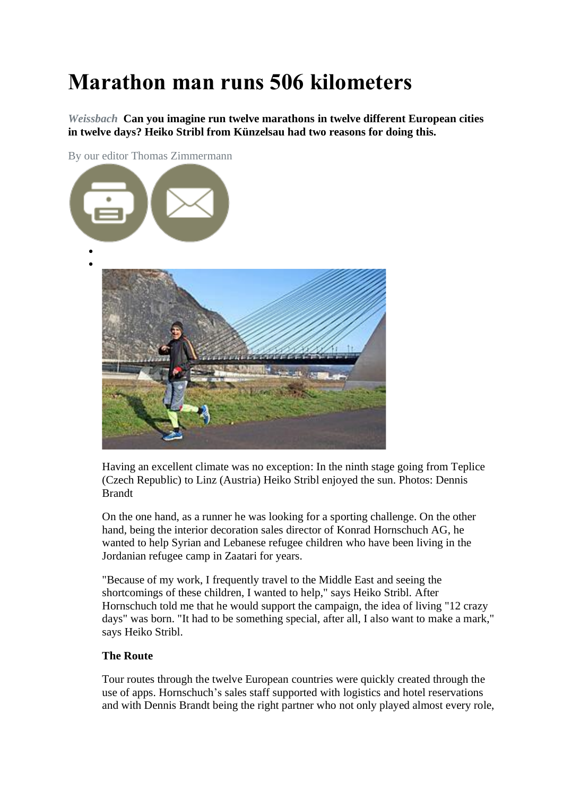## **Marathon man runs 506 kilometers**

*Weissbach* **Can you imagine run twelve marathons in twelve different European cities in twelve days? Heiko Stribl from Künzelsau had two reasons for doing this.**

By our editor Thomas Zimmermann



Having an excellent climate was no exception: In the ninth stage going from Teplice (Czech Republic) to Linz (Austria) Heiko Stribl enjoyed the sun. Photos: Dennis Brandt

On the one hand, as a runner he was looking for a sporting challenge. On the other hand, being the interior decoration sales director of Konrad Hornschuch AG, he wanted to help Syrian and Lebanese refugee children who have been living in the Jordanian refugee camp in Zaatari for years.

"Because of my work, I frequently travel to the Middle East and seeing the shortcomings of these children, I wanted to help," says Heiko Stribl. After Hornschuch told me that he would support the campaign, the idea of living "12 crazy days" was born. "It had to be something special, after all, I also want to make a mark," says Heiko Stribl.

## **The Route**

Tour routes through the twelve European countries were quickly created through the use of apps. Hornschuch's sales staff supported with logistics and hotel reservations and with Dennis Brandt being the right partner who not only played almost every role,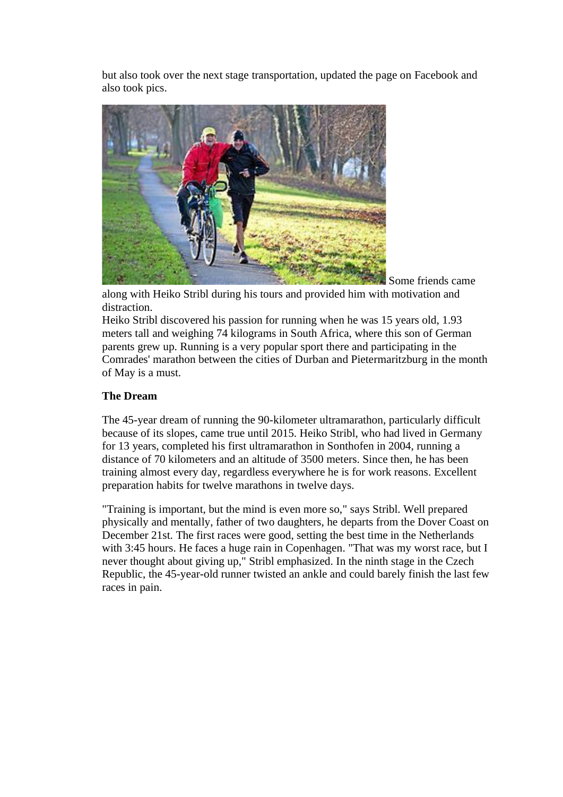but also took over the next stage transportation, updated the page on Facebook and also took pics.



along with Heiko Stribl during his tours and provided him with motivation and distraction.

Some friends came

Heiko Stribl discovered his passion for running when he was 15 years old, 1.93 meters tall and weighing 74 kilograms in South Africa, where this son of German parents grew up. Running is a very popular sport there and participating in the Comrades' marathon between the cities of Durban and Pietermaritzburg in the month of May is a must.

## **The Dream**

The 45-year dream of running the 90-kilometer ultramarathon, particularly difficult because of its slopes, came true until 2015. Heiko Stribl, who had lived in Germany for 13 years, completed his first ultramarathon in Sonthofen in 2004, running a distance of 70 kilometers and an altitude of 3500 meters. Since then, he has been training almost every day, regardless everywhere he is for work reasons. Excellent preparation habits for twelve marathons in twelve days.

"Training is important, but the mind is even more so," says Stribl. Well prepared physically and mentally, father of two daughters, he departs from the Dover Coast on December 21st. The first races were good, setting the best time in the Netherlands with 3:45 hours. He faces a huge rain in Copenhagen. "That was my worst race, but I never thought about giving up," Stribl emphasized. In the ninth stage in the Czech Republic, the 45-year-old runner twisted an ankle and could barely finish the last few races in pain.